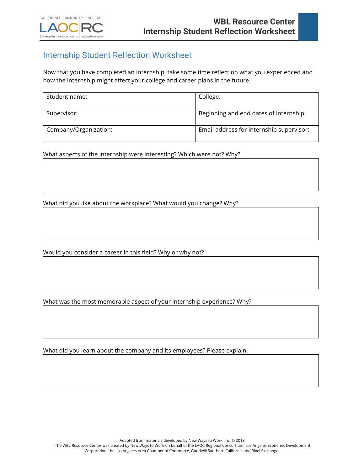## Internship Student Reflection Worksheet

Now that you have completed an internship, take some time reflect on what you experienced and how the internship might affect your college and career plans in the future.

| Student name:         | College:                                 |
|-----------------------|------------------------------------------|
| Supervisor:           | Beginning and end dates of internship:   |
| Company/Organization: | Email address for internship supervisor: |

What aspects of the internship were interesting? Which were not? Why?

What did you like about the workplace? What would you change? Why?

Would you consider a career in this field? Why or why not?

What was the most memorable aspect of your internship experience? Why?

What did you learn about the company and its employees? Please explain.